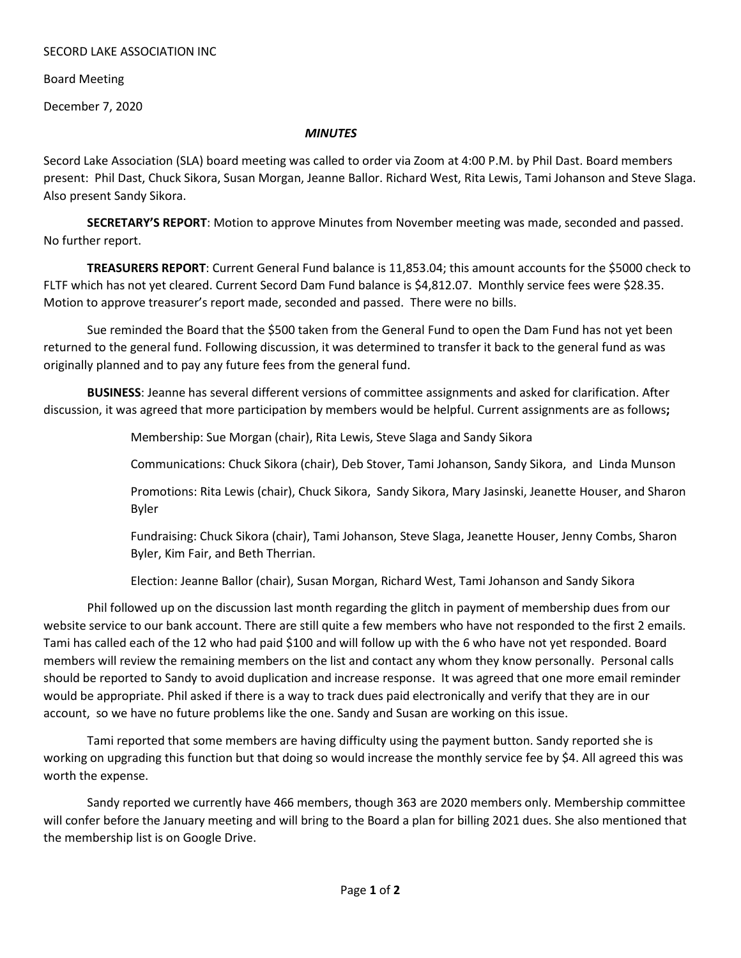## SECORD LAKE ASSOCIATION INC

Board Meeting

December 7, 2020

## *MINUTES*

Secord Lake Association (SLA) board meeting was called to order via Zoom at 4:00 P.M. by Phil Dast. Board members present: Phil Dast, Chuck Sikora, Susan Morgan, Jeanne Ballor. Richard West, Rita Lewis, Tami Johanson and Steve Slaga. Also present Sandy Sikora.

**SECRETARY'S REPORT**: Motion to approve Minutes from November meeting was made, seconded and passed. No further report.

**TREASURERS REPORT**: Current General Fund balance is 11,853.04; this amount accounts for the \$5000 check to FLTF which has not yet cleared. Current Secord Dam Fund balance is \$4,812.07. Monthly service fees were \$28.35. Motion to approve treasurer's report made, seconded and passed. There were no bills.

Sue reminded the Board that the \$500 taken from the General Fund to open the Dam Fund has not yet been returned to the general fund. Following discussion, it was determined to transfer it back to the general fund as was originally planned and to pay any future fees from the general fund.

**BUSINESS**: Jeanne has several different versions of committee assignments and asked for clarification. After discussion, it was agreed that more participation by members would be helpful. Current assignments are as follows**;** 

Membership: Sue Morgan (chair), Rita Lewis, Steve Slaga and Sandy Sikora

Communications: Chuck Sikora (chair), Deb Stover, Tami Johanson, Sandy Sikora, and Linda Munson

Promotions: Rita Lewis (chair), Chuck Sikora, Sandy Sikora, Mary Jasinski, Jeanette Houser, and Sharon Byler

Fundraising: Chuck Sikora (chair), Tami Johanson, Steve Slaga, Jeanette Houser, Jenny Combs, Sharon Byler, Kim Fair, and Beth Therrian.

Election: Jeanne Ballor (chair), Susan Morgan, Richard West, Tami Johanson and Sandy Sikora

Phil followed up on the discussion last month regarding the glitch in payment of membership dues from our website service to our bank account. There are still quite a few members who have not responded to the first 2 emails. Tami has called each of the 12 who had paid \$100 and will follow up with the 6 who have not yet responded. Board members will review the remaining members on the list and contact any whom they know personally. Personal calls should be reported to Sandy to avoid duplication and increase response. It was agreed that one more email reminder would be appropriate. Phil asked if there is a way to track dues paid electronically and verify that they are in our account, so we have no future problems like the one. Sandy and Susan are working on this issue.

Tami reported that some members are having difficulty using the payment button. Sandy reported she is working on upgrading this function but that doing so would increase the monthly service fee by \$4. All agreed this was worth the expense.

Sandy reported we currently have 466 members, though 363 are 2020 members only. Membership committee will confer before the January meeting and will bring to the Board a plan for billing 2021 dues. She also mentioned that the membership list is on Google Drive.